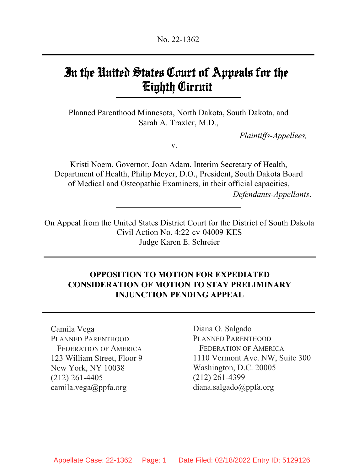## In the United States Court of Appeals for the Eighth Circuit

Planned Parenthood Minnesota, North Dakota, South Dakota, and Sarah A. Traxler, M.D.,

*Plaintiffs-Appellees,*

v.

Kristi Noem, Governor, Joan Adam, Interim Secretary of Health, Department of Health, Philip Meyer, D.O., President, South Dakota Board of Medical and Osteopathic Examiners, in their official capacities, *Defendants-Appellants*.

On Appeal from the United States District Court for the District of South Dakota Civil Action No. 4:22-cv-04009-KES Judge Karen E. Schreier

## **OPPOSITION TO MOTION FOR EXPEDIATED CONSIDERATION OF MOTION TO STAY PRELIMINARY INJUNCTION PENDING APPEAL**

Camila Vega PLANNED PARENTHOOD FEDERATION OF AMERICA 123 William Street, Floor 9 New York, NY 10038 (212) 261-4405 camila.vega@ppfa.org

Diana O. Salgado PLANNED PARENTHOOD FEDERATION OF AMERICA 1110 Vermont Ave. NW, Suite 300 Washington, D.C. 20005 (212) 261-4399 diana.salgado@ppfa.org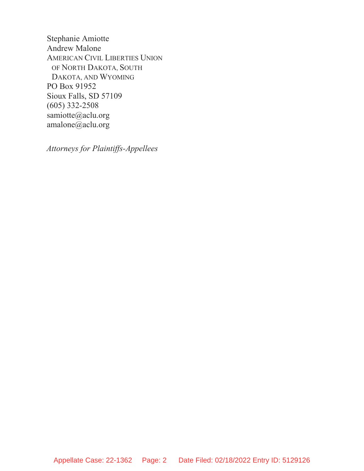Stephanie Amiotte Andrew Malone AMERICAN CIVIL LIBERTIES UNION OF NORTH DAKOTA, SOUTH DAKOTA, AND WYOMING PO Box 91952 Sioux Falls, SD 57109 (605) 332-2508 samiotte@aclu.org amalone@aclu.org

*Attorneys for Plaintiffs-Appellees*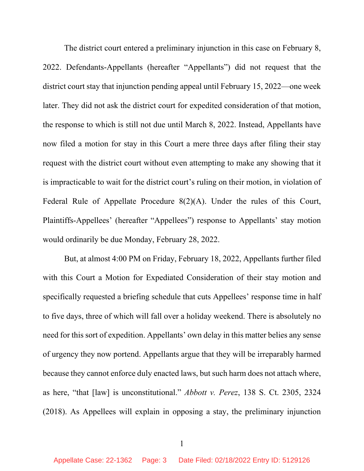The district court entered a preliminary injunction in this case on February 8, 2022. Defendants-Appellants (hereafter "Appellants") did not request that the district court stay that injunction pending appeal until February 15, 2022—one week later. They did not ask the district court for expedited consideration of that motion, the response to which is still not due until March 8, 2022. Instead, Appellants have now filed a motion for stay in this Court a mere three days after filing their stay request with the district court without even attempting to make any showing that it is impracticable to wait for the district court's ruling on their motion, in violation of Federal Rule of Appellate Procedure 8(2)(A). Under the rules of this Court, Plaintiffs-Appellees' (hereafter "Appellees") response to Appellants' stay motion would ordinarily be due Monday, February 28, 2022.

But, at almost 4:00 PM on Friday, February 18, 2022, Appellants further filed with this Court a Motion for Expediated Consideration of their stay motion and specifically requested a briefing schedule that cuts Appellees' response time in half to five days, three of which will fall over a holiday weekend. There is absolutely no need for this sort of expedition. Appellants' own delay in this matter belies any sense of urgency they now portend. Appellants argue that they will be irreparably harmed because they cannot enforce duly enacted laws, but such harm does not attach where, as here, "that [law] is unconstitutional." *Abbott v. Perez*, 138 S. Ct. 2305, 2324 (2018). As Appellees will explain in opposing a stay, the preliminary injunction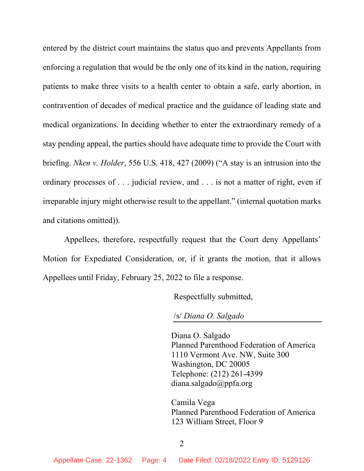entered by the district court maintains the status quo and prevents Appellants from enforcing a regulation that would be the only one of its kind in the nation, requiring patients to make three visits to a health center to obtain a safe, early abortion, in contravention of decades of medical practice and the guidance of leading state and medical organizations. In deciding whether to enter the extraordinary remedy of a stay pending appeal, the parties should have adequate time to provide the Court with briefing. *Nken v. Holder*, 556 U.S. 418, 427 (2009) ("A stay is an intrusion into the ordinary processes of . . . judicial review, and . . . is not a matter of right, even if irreparable injury might otherwise result to the appellant." (internal quotation marks and citations omitted)).

Appellees, therefore, respectfully request that the Court deny Appellants' Motion for Expediated Consideration, or, if it grants the motion, that it allows Appellees until Friday, February 25, 2022 to file a response.

Respectfully submitted,

/s/ *Diana O. Salgado*

Diana O. Salgado Planned Parenthood Federation of America 1110 Vermont Ave. NW, Suite 300 Washington, DC 20005 Telephone: (212) 261-4399 diana.salgado@ppfa.org

Camila Vega Planned Parenthood Federation of America 123 William Street, Floor 9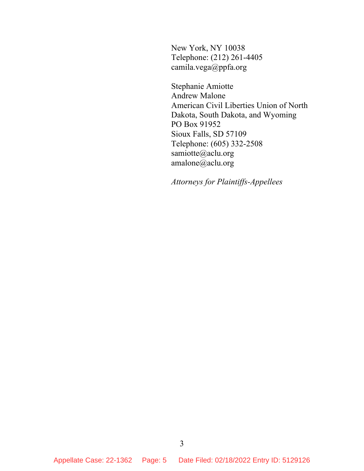New York, NY 10038 Telephone: (212) 261-4405 camila.vega@ppfa.org

Stephanie Amiotte Andrew Malone American Civil Liberties Union of North Dakota, South Dakota, and Wyoming PO Box 91952 Sioux Falls, SD 57109 Telephone: (605) 332-2508 samiotte@aclu.org amalone@aclu.org

*Attorneys for Plaintiffs-Appellees*